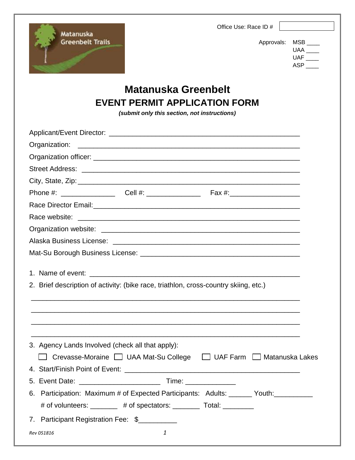Office Use: Race ID #



Approvals: MSB \_\_\_\_ UAA \_\_\_\_ UAF \_\_\_\_ ASP \_\_\_\_

# **Matanuska Greenbelt EVENT PERMIT APPLICATION FORM**

*(submit only this section, not instructions)*

|            | 2. Brief description of activity: (bike race, triathlon, cross-country skiing, etc.) |  |  |  |  |  |  |
|------------|--------------------------------------------------------------------------------------|--|--|--|--|--|--|
|            | 3. Agency Lands Involved (check all that apply):                                     |  |  |  |  |  |  |
|            | Crevasse-Moraine □ UAA Mat-Su College □ UAF Farm □ Matanuska Lakes                   |  |  |  |  |  |  |
|            |                                                                                      |  |  |  |  |  |  |
|            | 5. Event Date: _________________________                                             |  |  |  |  |  |  |
|            | 6. Participation: Maximum # of Expected Participants: Adults: ______ Youth: ________ |  |  |  |  |  |  |
|            | # of volunteers: ________ # of spectators: ________ Total: ________                  |  |  |  |  |  |  |
|            | 7. Participant Registration Fee: \$                                                  |  |  |  |  |  |  |
| Rev 051816 | 1                                                                                    |  |  |  |  |  |  |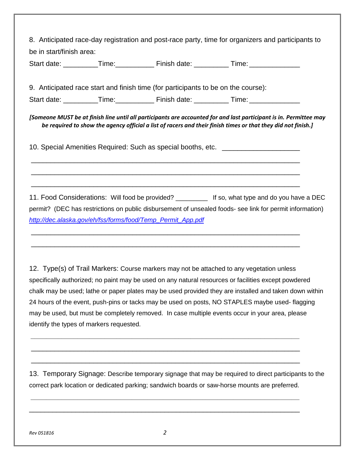8. Anticipated race-day registration and post-race party, time for organizers and participants to be in start/finish area: Start date: \_\_\_\_\_\_\_\_\_\_Time: \_\_\_\_\_\_\_\_\_\_\_ Finish date: \_\_\_\_\_\_\_\_\_\_Time: \_\_\_\_\_\_\_\_\_\_\_ 9. Anticipated race start and finish time (for participants to be on the course): Start date: Time: Time: Einish date: Time: Zime: Zime: Zime: Zime: Zime: Zime: Zime: Zime: Zime: Zime: Zime: Z *[Someone MUST be at finish line until all participants are accounted for and last participant is in. Permittee may be required to show the agency official a list of racers and their finish times or that they did not finish.]* 10. Special Amenities Required: Such as special booths, etc. \_\_\_\_\_\_\_\_\_\_\_\_\_\_\_\_\_\_\_\_\_\_\_\_\_\_\_\_\_\_\_\_\_\_\_\_\_\_\_\_\_\_\_\_\_\_\_\_\_\_\_\_\_\_\_\_\_\_\_\_\_\_\_\_\_\_\_\_\_ \_\_\_\_\_\_\_\_\_\_\_\_\_\_\_\_\_\_\_\_\_\_\_\_\_\_\_\_\_\_\_\_\_\_\_\_\_\_\_\_\_\_\_\_\_\_\_\_\_\_\_\_\_\_\_\_\_\_\_\_\_\_\_\_\_\_\_\_\_ \_\_\_\_\_\_\_\_\_\_\_\_\_\_\_\_\_\_\_\_\_\_\_\_\_\_\_\_\_\_\_\_\_\_\_\_\_\_\_\_\_\_\_\_\_\_\_\_\_\_\_\_\_\_\_\_\_\_\_\_\_\_\_\_\_\_\_\_\_ 11. Food Considerations: Will food be provided? \_\_\_\_\_\_\_\_\_\_\_\_ If so, what type and do you have a DEC permit? (DEC has restrictions on public disbursement of unsealed foods- see link for permit information) *[http://dec.alaska.gov/eh/fss/forms/food/Temp\\_Permit\\_App.pdf](http://dec.alaska.gov/eh/fss/forms/food/Temp_Permit_App.pdf)* \_\_\_\_\_\_\_\_\_\_\_\_\_\_\_\_\_\_\_\_\_\_\_\_\_\_\_\_\_\_\_\_\_\_\_\_\_\_\_\_\_\_\_\_\_\_\_\_\_\_\_\_\_\_\_\_\_\_\_\_\_\_\_\_\_\_\_\_\_ \_\_\_\_\_\_\_\_\_\_\_\_\_\_\_\_\_\_\_\_\_\_\_\_\_\_\_\_\_\_\_\_\_\_\_\_\_\_\_\_\_\_\_\_\_\_\_\_\_\_\_\_\_\_\_\_\_\_\_\_\_\_\_\_\_\_\_\_\_ 12. Type(s) of Trail Markers: Course markers may not be attached to any vegetation unless

specifically authorized; no paint may be used on any natural resources or facilities except powdered chalk may be used; lathe or paper plates may be used provided they are installed and taken down within 24 hours of the event, push-pins or tacks may be used on posts, NO STAPLES maybe used- flagging may be used, but must be completely removed. In case multiple events occur in your area, please identify the types of markers requested.

*\_\_\_\_\_\_\_\_\_\_\_\_\_\_\_\_\_\_\_\_\_\_\_\_\_\_\_\_\_\_\_\_\_\_\_\_\_\_\_\_\_\_\_\_\_\_\_\_\_\_\_\_\_\_\_\_\_\_\_\_\_\_\_\_\_\_\_\_\_*

\_\_\_\_\_\_\_\_\_\_\_\_\_\_\_\_\_\_\_\_\_\_\_\_\_\_\_\_\_\_\_\_\_\_\_\_\_\_\_\_\_\_\_\_\_\_\_\_\_\_\_\_\_\_\_\_\_\_\_\_\_\_\_\_\_\_\_\_\_

\_\_\_\_\_\_\_\_\_\_\_\_\_\_\_\_\_\_\_\_\_\_\_\_\_\_\_\_\_\_\_\_\_\_\_\_\_\_\_\_\_\_\_\_\_\_\_\_\_\_\_\_\_\_\_\_\_\_\_\_\_\_\_\_\_\_\_\_\_

*\_\_\_\_\_\_\_\_\_\_\_\_\_\_\_\_\_\_\_\_\_\_\_\_\_\_\_\_\_\_\_\_\_\_\_\_\_\_\_\_\_\_\_\_\_\_\_\_\_\_\_\_\_\_\_\_\_\_\_\_\_\_\_\_\_\_\_\_\_*

\_\_\_\_\_\_\_\_\_\_\_\_\_\_\_\_\_\_\_\_\_\_\_\_\_\_\_\_\_\_\_\_\_\_\_\_\_\_\_\_\_\_\_\_\_\_\_\_\_\_\_\_\_\_\_\_\_\_\_\_\_\_\_\_\_\_\_\_\_\_

13. Temporary Signage: Describe temporary signage that may be required to direct participants to the correct park location or dedicated parking; sandwich boards or saw-horse mounts are preferred.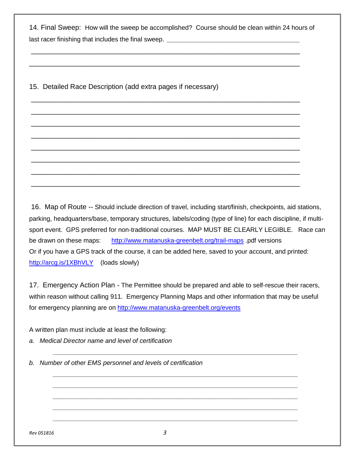14. Final Sweep: How will the sweep be accomplished? Course should be clean within 24 hours of last racer finishing that includes the final sweep.

\_\_\_\_\_\_\_\_\_\_\_\_\_\_\_\_\_\_\_\_\_\_\_\_\_\_\_\_\_\_\_\_\_\_\_\_\_\_\_\_\_\_\_\_\_\_\_\_\_\_\_\_\_\_\_\_\_\_\_\_\_\_\_\_\_\_\_\_\_

\_\_\_\_\_\_\_\_\_\_\_\_\_\_\_\_\_\_\_\_\_\_\_\_\_\_\_\_\_\_\_\_\_\_\_\_\_\_\_\_\_\_\_\_\_\_\_\_\_\_\_\_\_\_\_\_\_\_\_\_\_\_\_\_\_\_\_\_\_\_

\_\_\_\_\_\_\_\_\_\_\_\_\_\_\_\_\_\_\_\_\_\_\_\_\_\_\_\_\_\_\_\_\_\_\_\_\_\_\_\_\_\_\_\_\_\_\_\_\_\_\_\_\_\_\_\_\_\_\_\_\_\_\_\_\_\_\_\_\_

\_\_\_\_\_\_\_\_\_\_\_\_\_\_\_\_\_\_\_\_\_\_\_\_\_\_\_\_\_\_\_\_\_\_\_\_\_\_\_\_\_\_\_\_\_\_\_\_\_\_\_\_\_\_\_\_\_\_\_\_\_\_\_\_\_\_\_\_\_

\_\_\_\_\_\_\_\_\_\_\_\_\_\_\_\_\_\_\_\_\_\_\_\_\_\_\_\_\_\_\_\_\_\_\_\_\_\_\_\_\_\_\_\_\_\_\_\_\_\_\_\_\_\_\_\_\_\_\_\_\_\_\_\_\_\_\_\_\_

\_\_\_\_\_\_\_\_\_\_\_\_\_\_\_\_\_\_\_\_\_\_\_\_\_\_\_\_\_\_\_\_\_\_\_\_\_\_\_\_\_\_\_\_\_\_\_\_\_\_\_\_\_\_\_\_\_\_\_\_\_\_\_\_\_\_\_\_\_

\_\_\_\_\_\_\_\_\_\_\_\_\_\_\_\_\_\_\_\_\_\_\_\_\_\_\_\_\_\_\_\_\_\_\_\_\_\_\_\_\_\_\_\_\_\_\_\_\_\_\_\_\_\_\_\_\_\_\_\_\_\_\_\_\_\_\_\_\_

\_\_\_\_\_\_\_\_\_\_\_\_\_\_\_\_\_\_\_\_\_\_\_\_\_\_\_\_\_\_\_\_\_\_\_\_\_\_\_\_\_\_\_\_\_\_\_\_\_\_\_\_\_\_\_\_\_\_\_\_\_\_\_\_\_\_\_\_\_

\_\_\_\_\_\_\_\_\_\_\_\_\_\_\_\_\_\_\_\_\_\_\_\_\_\_\_\_\_\_\_\_\_\_\_\_\_\_\_\_\_\_\_\_\_\_\_\_\_\_\_\_\_\_\_\_\_\_\_\_\_\_\_\_\_\_\_\_\_

\_\_\_\_\_\_\_\_\_\_\_\_\_\_\_\_\_\_\_\_\_\_\_\_\_\_\_\_\_\_\_\_\_\_\_\_\_\_\_\_\_\_\_\_\_\_\_\_\_\_\_\_\_\_\_\_\_\_\_\_\_\_\_\_\_\_\_\_\_

15. Detailed Race Description (add extra pages if necessary)

16. Map of Route -- Should include direction of travel, including start/finish, checkpoints, aid stations, parking, headquarters/base, temporary structures, labels/coding (type of line) for each discipline, if multisport event. GPS preferred for non-traditional courses. MAP MUST BE CLEARLY LEGIBLE. Race can be drawn on these maps: <http://www.matanuska-greenbelt.org/trail-maps> .pdf versions Or if you have a GPS track of the course, it can be added here, saved to your account, and printed: <http://arcg.is/1XBhVLY> (loads slowly)

17. Emergency Action Plan - The Permittee should be prepared and able to self-rescue their racers, within reason without calling 911. Emergency Planning Maps and other information that may be useful for emergency planning are on<http://www.matanuska-greenbelt.org/events>

*\_\_\_\_\_\_\_\_\_\_\_\_\_\_\_\_\_\_\_\_\_\_\_\_\_\_\_\_\_\_\_\_\_\_\_\_\_\_\_\_\_\_\_\_\_\_\_\_\_\_\_\_\_\_\_\_\_\_\_\_\_\_\_\_\_\_\_\_\_*

*\_\_\_\_\_\_\_\_\_\_\_\_\_\_\_\_\_\_\_\_\_\_\_\_\_\_\_\_\_\_\_\_\_\_\_\_\_\_\_\_\_\_\_\_\_\_\_\_\_\_\_\_\_\_\_\_\_\_\_\_\_\_\_\_\_\_\_\_\_ \_\_\_\_\_\_\_\_\_\_\_\_\_\_\_\_\_\_\_\_\_\_\_\_\_\_\_\_\_\_\_\_\_\_\_\_\_\_\_\_\_\_\_\_\_\_\_\_\_\_\_\_\_\_\_\_\_\_\_\_\_\_\_\_\_\_\_\_\_ \_\_\_\_\_\_\_\_\_\_\_\_\_\_\_\_\_\_\_\_\_\_\_\_\_\_\_\_\_\_\_\_\_\_\_\_\_\_\_\_\_\_\_\_\_\_\_\_\_\_\_\_\_\_\_\_\_\_\_\_\_\_\_\_\_\_\_\_\_ \_\_\_\_\_\_\_\_\_\_\_\_\_\_\_\_\_\_\_\_\_\_\_\_\_\_\_\_\_\_\_\_\_\_\_\_\_\_\_\_\_\_\_\_\_\_\_\_\_\_\_\_\_\_\_\_\_\_\_\_\_\_\_\_\_\_\_\_\_ \_\_\_\_\_\_\_\_\_\_\_\_\_\_\_\_\_\_\_\_\_\_\_\_\_\_\_\_\_\_\_\_\_\_\_\_\_\_\_\_\_\_\_\_\_\_\_\_\_\_\_\_\_\_\_\_\_\_\_\_\_\_\_\_\_\_\_\_\_*

A written plan must include at least the following:

*a. Medical Director name and level of certification*

*b. Number of other EMS personnel and levels of certification*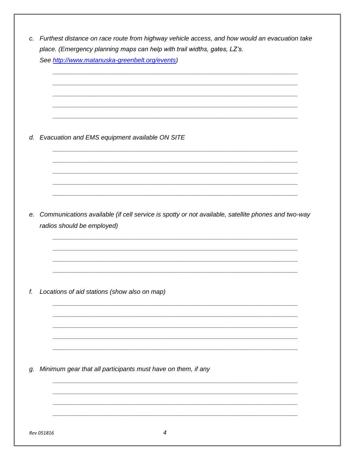|    | place. (Emergency planning maps can help with trail widths, gates, LZ's.<br>See http://www.matanuska-greenbelt.org/events)       |
|----|----------------------------------------------------------------------------------------------------------------------------------|
|    |                                                                                                                                  |
|    |                                                                                                                                  |
|    | d. Evacuation and EMS equipment available ON SITE                                                                                |
|    |                                                                                                                                  |
|    |                                                                                                                                  |
| е. | Communications available (if cell service is spotty or not available, satellite phones and two-way<br>radios should be employed) |
|    |                                                                                                                                  |
| f. | Locations of aid stations (show also on map)                                                                                     |
|    |                                                                                                                                  |
|    |                                                                                                                                  |
|    |                                                                                                                                  |
| g. | Minimum gear that all participants must have on them, if any                                                                     |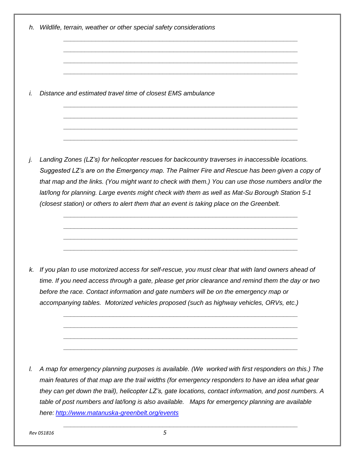- *h. Wildlife, terrain, weather or other special safety considerations \_\_\_\_\_\_\_\_\_\_\_\_\_\_\_\_\_\_\_\_\_\_\_\_\_\_\_\_\_\_\_\_\_\_\_\_\_\_\_\_\_\_\_\_\_\_\_\_\_\_\_\_\_\_\_\_\_\_\_\_\_\_\_\_\_\_ \_\_\_\_\_\_\_\_\_\_\_\_\_\_\_\_\_\_\_\_\_\_\_\_\_\_\_\_\_\_\_\_\_\_\_\_\_\_\_\_\_\_\_\_\_\_\_\_\_\_\_\_\_\_\_\_\_\_\_\_\_\_\_\_\_\_ \_\_\_\_\_\_\_\_\_\_\_\_\_\_\_\_\_\_\_\_\_\_\_\_\_\_\_\_\_\_\_\_\_\_\_\_\_\_\_\_\_\_\_\_\_\_\_\_\_\_\_\_\_\_\_\_\_\_\_\_\_\_\_\_\_\_ \_\_\_\_\_\_\_\_\_\_\_\_\_\_\_\_\_\_\_\_\_\_\_\_\_\_\_\_\_\_\_\_\_\_\_\_\_\_\_\_\_\_\_\_\_\_\_\_\_\_\_\_\_\_\_\_\_\_\_\_\_\_\_\_\_\_ i. Distance and estimated travel time of closest EMS ambulance \_\_\_\_\_\_\_\_\_\_\_\_\_\_\_\_\_\_\_\_\_\_\_\_\_\_\_\_\_\_\_\_\_\_\_\_\_\_\_\_\_\_\_\_\_\_\_\_\_\_\_\_\_\_\_\_\_\_\_\_\_\_\_\_\_\_ \_\_\_\_\_\_\_\_\_\_\_\_\_\_\_\_\_\_\_\_\_\_\_\_\_\_\_\_\_\_\_\_\_\_\_\_\_\_\_\_\_\_\_\_\_\_\_\_\_\_\_\_\_\_\_\_\_\_\_\_\_\_\_\_\_\_ \_\_\_\_\_\_\_\_\_\_\_\_\_\_\_\_\_\_\_\_\_\_\_\_\_\_\_\_\_\_\_\_\_\_\_\_\_\_\_\_\_\_\_\_\_\_\_\_\_\_\_\_\_\_\_\_\_\_\_\_\_\_\_\_\_\_ \_\_\_\_\_\_\_\_\_\_\_\_\_\_\_\_\_\_\_\_\_\_\_\_\_\_\_\_\_\_\_\_\_\_\_\_\_\_\_\_\_\_\_\_\_\_\_\_\_\_\_\_\_\_\_\_\_\_\_\_\_\_\_\_\_\_ j. Landing Zones (LZ's) for helicopter rescues for backcountry traverses in inaccessible locations. Suggested LZ's are on the Emergency map. The Palmer Fire and Rescue has been given a copy of that map and the links. (You might want to check with them.) You can use those numbers and/or the lat/long for planning. Large events might check with them as well as Mat-Su Borough Station 5-1 (closest station) or others to alert them that an event is taking place on the Greenbelt. \_\_\_\_\_\_\_\_\_\_\_\_\_\_\_\_\_\_\_\_\_\_\_\_\_\_\_\_\_\_\_\_\_\_\_\_\_\_\_\_\_\_\_\_\_\_\_\_\_\_\_\_\_\_\_\_\_\_\_\_\_\_\_\_\_\_ \_\_\_\_\_\_\_\_\_\_\_\_\_\_\_\_\_\_\_\_\_\_\_\_\_\_\_\_\_\_\_\_\_\_\_\_\_\_\_\_\_\_\_\_\_\_\_\_\_\_\_\_\_\_\_\_\_\_\_\_\_\_\_\_\_\_ \_\_\_\_\_\_\_\_\_\_\_\_\_\_\_\_\_\_\_\_\_\_\_\_\_\_\_\_\_\_\_\_\_\_\_\_\_\_\_\_\_\_\_\_\_\_\_\_\_\_\_\_\_\_\_\_\_\_\_\_\_\_\_\_\_\_ \_\_\_\_\_\_\_\_\_\_\_\_\_\_\_\_\_\_\_\_\_\_\_\_\_\_\_\_\_\_\_\_\_\_\_\_\_\_\_\_\_\_\_\_\_\_\_\_\_\_\_\_\_\_\_\_\_\_\_\_\_\_\_\_\_\_*
	- *k. If you plan to use motorized access for self-rescue, you must clear that with land owners ahead of time. If you need access through a gate, please get prior clearance and remind them the day or two before the race. Contact information and gate numbers will be on the emergency map or accompanying tables. Motorized vehicles proposed (such as highway vehicles, ORVs, etc.)*

*\_\_\_\_\_\_\_\_\_\_\_\_\_\_\_\_\_\_\_\_\_\_\_\_\_\_\_\_\_\_\_\_\_\_\_\_\_\_\_\_\_\_\_\_\_\_\_\_\_\_\_\_\_\_\_\_\_\_\_\_\_\_\_\_\_\_ \_\_\_\_\_\_\_\_\_\_\_\_\_\_\_\_\_\_\_\_\_\_\_\_\_\_\_\_\_\_\_\_\_\_\_\_\_\_\_\_\_\_\_\_\_\_\_\_\_\_\_\_\_\_\_\_\_\_\_\_\_\_\_\_\_\_ \_\_\_\_\_\_\_\_\_\_\_\_\_\_\_\_\_\_\_\_\_\_\_\_\_\_\_\_\_\_\_\_\_\_\_\_\_\_\_\_\_\_\_\_\_\_\_\_\_\_\_\_\_\_\_\_\_\_\_\_\_\_\_\_\_\_ \_\_\_\_\_\_\_\_\_\_\_\_\_\_\_\_\_\_\_\_\_\_\_\_\_\_\_\_\_\_\_\_\_\_\_\_\_\_\_\_\_\_\_\_\_\_\_\_\_\_\_\_\_\_\_\_\_\_\_\_\_\_\_\_\_\_*

*l. A map for emergency planning purposes is available. (We worked with first responders on this.) The main features of that map are the trail widths (for emergency responders to have an idea what gear they can get down the trail), helicopter LZ's, gate locations, contact information, and post numbers. A table of post numbers and lat/long is also available. Maps for emergency planning are available here: <http://www.matanuska-greenbelt.org/events>*

*\_\_\_\_\_\_\_\_\_\_\_\_\_\_\_\_\_\_\_\_\_\_\_\_\_\_\_\_\_\_\_\_\_\_\_\_\_\_\_\_\_\_\_\_\_\_\_\_\_\_\_\_\_\_\_\_\_\_\_\_\_\_\_\_\_\_*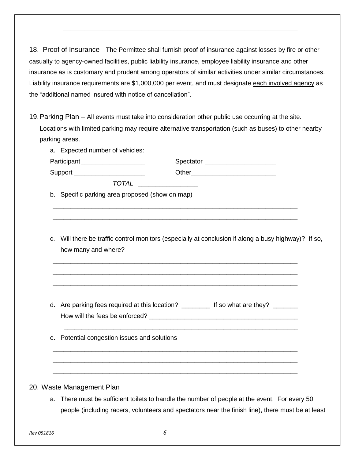18. Proof of Insurance - The Permittee shall furnish proof of insurance against losses by fire or other casualty to agency-owned facilities, public liability insurance, employee liability insurance and other insurance as is customary and prudent among operators of similar activities under similar circumstances. Liability insurance requirements are \$1,000,000 per event, and must designate each involved agency as the "additional named insured with notice of cancellation".

*\_\_\_\_\_\_\_\_\_\_\_\_\_\_\_\_\_\_\_\_\_\_\_\_\_\_\_\_\_\_\_\_\_\_\_\_\_\_\_\_\_\_\_\_\_\_\_\_\_\_\_\_\_\_\_\_\_\_\_\_\_\_\_\_\_\_*

19.Parking Plan – All events must take into consideration other public use occurring at the site. Locations with limited parking may require alternative transportation (such as buses) to other nearby parking areas.

| a. Expected number of vehicles:                 |                                                                                                             |
|-------------------------------------------------|-------------------------------------------------------------------------------------------------------------|
| Participant ____________________                | Spectator _______________________                                                                           |
| Support ______________________                  |                                                                                                             |
|                                                 | $\begin{tabular}{c} \bf \textit{DTAL} & \textit{\textbf{---}} & \textit{\textbf{---}} \\ \bf \end{tabular}$ |
| b. Specific parking area proposed (show on map) |                                                                                                             |
| how many and where?                             | c. Will there be traffic control monitors (especially at conclusion if along a busy highway)? If so,        |
|                                                 | d. Are parking fees required at this location? ____________ If so what are they? ________                   |
| e. Potential congestion issues and solutions    |                                                                                                             |
|                                                 |                                                                                                             |
|                                                 |                                                                                                             |

### 20. Waste Management Plan

a. There must be sufficient toilets to handle the number of people at the event. For every 50 people (including racers, volunteers and spectators near the finish line), there must be at least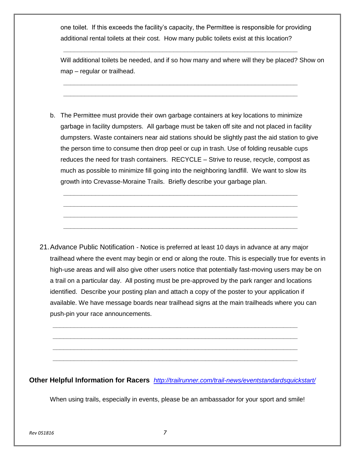one toilet. If this exceeds the facility's capacity, the Permittee is responsible for providing additional rental toilets at their cost. How many public toilets exist at this location?

*\_\_\_\_\_\_\_\_\_\_\_\_\_\_\_\_\_\_\_\_\_\_\_\_\_\_\_\_\_\_\_\_\_\_\_\_\_\_\_\_\_\_\_\_\_\_\_\_\_\_\_\_\_\_\_\_\_\_\_\_\_\_\_\_\_\_*

*\_\_\_\_\_\_\_\_\_\_\_\_\_\_\_\_\_\_\_\_\_\_\_\_\_\_\_\_\_\_\_\_\_\_\_\_\_\_\_\_\_\_\_\_\_\_\_\_\_\_\_\_\_\_\_\_\_\_\_\_\_\_\_\_\_\_ \_\_\_\_\_\_\_\_\_\_\_\_\_\_\_\_\_\_\_\_\_\_\_\_\_\_\_\_\_\_\_\_\_\_\_\_\_\_\_\_\_\_\_\_\_\_\_\_\_\_\_\_\_\_\_\_\_\_\_\_\_\_\_\_\_\_*

Will additional toilets be needed, and if so how many and where will they be placed? Show on map – regular or trailhead.

b. The Permittee must provide their own garbage containers at key locations to minimize garbage in facility dumpsters. All garbage must be taken off site and not placed in facility dumpsters. Waste containers near aid stations should be slightly past the aid station to give the person time to consume then drop peel or cup in trash. Use of folding reusable cups reduces the need for trash containers. RECYCLE – Strive to reuse, recycle, compost as much as possible to minimize fill going into the neighboring landfill. We want to slow its growth into Crevasse-Moraine Trails. Briefly describe your garbage plan.

*\_\_\_\_\_\_\_\_\_\_\_\_\_\_\_\_\_\_\_\_\_\_\_\_\_\_\_\_\_\_\_\_\_\_\_\_\_\_\_\_\_\_\_\_\_\_\_\_\_\_\_\_\_\_\_\_\_\_\_\_\_\_\_\_\_\_ \_\_\_\_\_\_\_\_\_\_\_\_\_\_\_\_\_\_\_\_\_\_\_\_\_\_\_\_\_\_\_\_\_\_\_\_\_\_\_\_\_\_\_\_\_\_\_\_\_\_\_\_\_\_\_\_\_\_\_\_\_\_\_\_\_\_ \_\_\_\_\_\_\_\_\_\_\_\_\_\_\_\_\_\_\_\_\_\_\_\_\_\_\_\_\_\_\_\_\_\_\_\_\_\_\_\_\_\_\_\_\_\_\_\_\_\_\_\_\_\_\_\_\_\_\_\_\_\_\_\_\_\_ \_\_\_\_\_\_\_\_\_\_\_\_\_\_\_\_\_\_\_\_\_\_\_\_\_\_\_\_\_\_\_\_\_\_\_\_\_\_\_\_\_\_\_\_\_\_\_\_\_\_\_\_\_\_\_\_\_\_\_\_\_\_\_\_\_\_*

21.Advance Public Notification *-* Notice is preferred at least 10 days in advance at any major trailhead where the event may begin or end or along the route. This is especially true for events in high-use areas and will also give other users notice that potentially fast-moving users may be on a trail on a particular day. All posting must be pre-approved by the park ranger and locations identified. Describe your posting plan and attach a copy of the poster to your application if available. We have message boards near trailhead signs at the main trailheads where you can push-pin your race announcements.

**Other Helpful Information for Racers** *<http://trailrunner.com/trail-news/eventstandardsquickstart/>*

*\_\_\_\_\_\_\_\_\_\_\_\_\_\_\_\_\_\_\_\_\_\_\_\_\_\_\_\_\_\_\_\_\_\_\_\_\_\_\_\_\_\_\_\_\_\_\_\_\_\_\_\_\_\_\_\_\_\_\_\_\_\_\_\_\_\_\_\_\_ \_\_\_\_\_\_\_\_\_\_\_\_\_\_\_\_\_\_\_\_\_\_\_\_\_\_\_\_\_\_\_\_\_\_\_\_\_\_\_\_\_\_\_\_\_\_\_\_\_\_\_\_\_\_\_\_\_\_\_\_\_\_\_\_\_\_\_\_\_ \_\_\_\_\_\_\_\_\_\_\_\_\_\_\_\_\_\_\_\_\_\_\_\_\_\_\_\_\_\_\_\_\_\_\_\_\_\_\_\_\_\_\_\_\_\_\_\_\_\_\_\_\_\_\_\_\_\_\_\_\_\_\_\_\_\_\_\_\_ \_\_\_\_\_\_\_\_\_\_\_\_\_\_\_\_\_\_\_\_\_\_\_\_\_\_\_\_\_\_\_\_\_\_\_\_\_\_\_\_\_\_\_\_\_\_\_\_\_\_\_\_\_\_\_\_\_\_\_\_\_\_\_\_\_\_\_\_\_*

When using trails, especially in events, please be an ambassador for your sport and smile!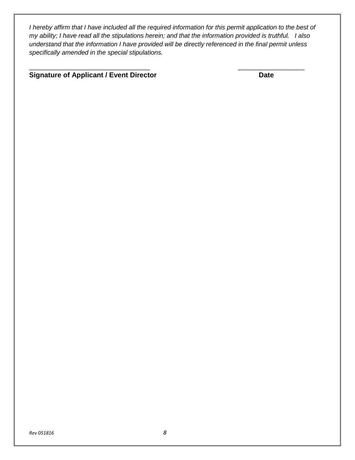*I hereby affirm that I have included all the required information for this permit application to the best of my ability; I have read all the stipulations herein; and that the information provided is truthful. I also understand that the information I have provided will be directly referenced in the final permit unless specifically amended in the special stipulations.*

\_\_\_\_\_\_\_\_\_\_\_\_\_\_\_\_\_\_\_\_\_\_\_\_\_\_\_\_\_\_\_\_\_\_\_\_\_\_ \_\_\_\_\_\_\_\_\_\_\_\_\_\_\_\_\_\_\_\_\_

### **Signature of Applicant / Event Director Date**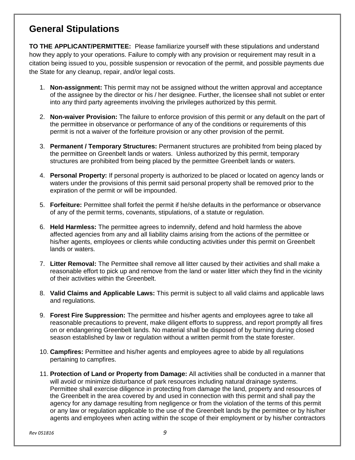## **General Stipulations**

**TO THE APPLICANT/PERMITTEE:** Please familiarize yourself with these stipulations and understand how they apply to your operations. Failure to comply with any provision or requirement may result in a citation being issued to you, possible suspension or revocation of the permit, and possible payments due the State for any cleanup, repair, and/or legal costs.

- 1. **Non-assignment:** This permit may not be assigned without the written approval and acceptance of the assignee by the director or his / her designee. Further, the licensee shall not sublet or enter into any third party agreements involving the privileges authorized by this permit.
- 2. **Non-waiver Provision:** The failure to enforce provision of this permit or any default on the part of the permittee in observance or performance of any of the conditions or requirements of this permit is not a waiver of the forfeiture provision or any other provision of the permit.
- 3. **Permanent / Temporary Structures:** Permanent structures are prohibited from being placed by the permittee on Greenbelt lands or waters. Unless authorized by this permit, temporary structures are prohibited from being placed by the permittee Greenbelt lands or waters.
- 4. **Personal Property:** If personal property is authorized to be placed or located on agency lands or waters under the provisions of this permit said personal property shall be removed prior to the expiration of the permit or will be impounded.
- 5. **Forfeiture:** Permittee shall forfeit the permit if he/she defaults in the performance or observance of any of the permit terms, covenants, stipulations, of a statute or regulation.
- 6. **Held Harmless:** The permittee agrees to indemnify, defend and hold harmless the above affected agencies from any and all liability claims arising from the actions of the permittee or his/her agents, employees or clients while conducting activities under this permit on Greenbelt lands or waters.
- 7. **Litter Removal:** The Permittee shall remove all litter caused by their activities and shall make a reasonable effort to pick up and remove from the land or water litter which they find in the vicinity of their activities within the Greenbelt.
- 8. **Valid Claims and Applicable Laws:** This permit is subject to all valid claims and applicable laws and regulations.
- 9. **Forest Fire Suppression:** The permittee and his/her agents and employees agree to take all reasonable precautions to prevent, make diligent efforts to suppress, and report promptly all fires on or endangering Greenbelt lands. No material shall be disposed of by burning during closed season established by law or regulation without a written permit from the state forester.
- 10. **Campfires:** Permittee and his/her agents and employees agree to abide by all regulations pertaining to campfires.
- 11. **Protection of Land or Property from Damage:** All activities shall be conducted in a manner that will avoid or minimize disturbance of park resources including natural drainage systems. Permittee shall exercise diligence in protecting from damage the land, property and resources of the Greenbelt in the area covered by and used in connection with this permit and shall pay the agency for any damage resulting from negligence or from the violation of the terms of this permit or any law or regulation applicable to the use of the Greenbelt lands by the permittee or by his/her agents and employees when acting within the scope of their employment or by his/her contractors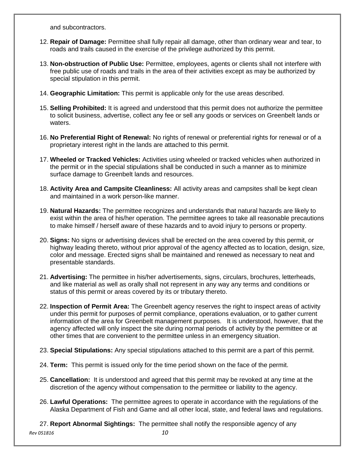and subcontractors.

- 12. **Repair of Damage:** Permittee shall fully repair all damage, other than ordinary wear and tear, to roads and trails caused in the exercise of the privilege authorized by this permit.
- 13. **Non-obstruction of Public Use:** Permittee, employees, agents or clients shall not interfere with free public use of roads and trails in the area of their activities except as may be authorized by special stipulation in this permit.
- 14. **Geographic Limitation:** This permit is applicable only for the use areas described.
- 15. **Selling Prohibited:** It is agreed and understood that this permit does not authorize the permittee to solicit business, advertise, collect any fee or sell any goods or services on Greenbelt lands or waters.
- 16. **No Preferential Right of Renewal:** No rights of renewal or preferential rights for renewal or of a proprietary interest right in the lands are attached to this permit.
- 17. **Wheeled or Tracked Vehicles:** Activities using wheeled or tracked vehicles when authorized in the permit or in the special stipulations shall be conducted in such a manner as to minimize surface damage to Greenbelt lands and resources.
- 18. **Activity Area and Campsite Cleanliness:** All activity areas and campsites shall be kept clean and maintained in a work person-like manner.
- 19. **Natural Hazards:** The permittee recognizes and understands that natural hazards are likely to exist within the area of his/her operation. The permittee agrees to take all reasonable precautions to make himself / herself aware of these hazards and to avoid injury to persons or property.
- 20. **Signs:** No signs or advertising devices shall be erected on the area covered by this permit, or highway leading thereto, without prior approval of the agency affected as to location, design, size, color and message. Erected signs shall be maintained and renewed as necessary to neat and presentable standards.
- 21. **Advertising:** The permittee in his/her advertisements, signs, circulars, brochures, letterheads, and like material as well as orally shall not represent in any way any terms and conditions or status of this permit or areas covered by its or tributary thereto.
- 22. **Inspection of Permit Area:** The Greenbelt agency reserves the right to inspect areas of activity under this permit for purposes of permit compliance, operations evaluation, or to gather current information of the area for Greenbelt management purposes. It is understood, however, that the agency affected will only inspect the site during normal periods of activity by the permittee or at other times that are convenient to the permittee unless in an emergency situation.
- 23. **Special Stipulations:** Any special stipulations attached to this permit are a part of this permit.
- 24. **Term:** This permit is issued only for the time period shown on the face of the permit.
- 25. **Cancellation:** It is understood and agreed that this permit may be revoked at any time at the discretion of the agency without compensation to the permittee or liability to the agency.
- 26. **Lawful Operations:** The permittee agrees to operate in accordance with the regulations of the Alaska Department of Fish and Game and all other local, state, and federal laws and regulations.
- 27. **Report Abnormal Sightings:** The permittee shall notify the responsible agency of any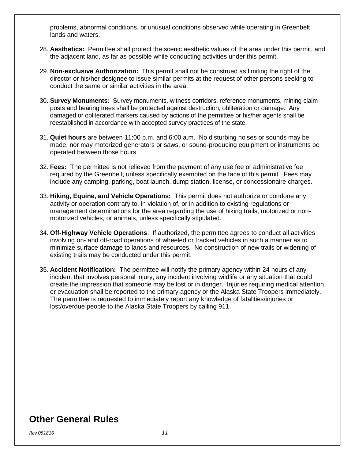problems, abnormal conditions, or unusual conditions observed while operating in Greenbelt lands and waters.

- 28. **Aesthetics:** Permittee shall protect the scenic aesthetic values of the area under this permit, and the adjacent land, as far as possible while conducting activities under this permit.
- 29. **Non-exclusive Authorization:** This permit shall not be construed as limiting the right of the director or his/her designee to issue similar permits at the request of other persons seeking to conduct the same or similar activities in the area.
- 30. **Survey Monuments:** Survey monuments, witness corridors, reference monuments, mining claim posts and bearing trees shall be protected against destruction, obliteration or damage. Any damaged or obliterated markers caused by actions of the permittee or his/her agents shall be reestablished in accordance with accepted survey practices of the state.
- 31. **Quiet hours** are between 11:00 p.m. and 6:00 a.m. No disturbing noises or sounds may be made, nor may motorized generators or saws, or sound-producing equipment or instruments be operated between those hours.
- 32. **Fees:** The permittee is not relieved from the payment of any use fee or administrative fee required by the Greenbelt, unless specifically exempted on the face of this permit. Fees may include any camping, parking, boat launch, dump station, license, or concessionaire charges.
- 33. **Hiking, Equine, and Vehicle Operations:** This permit does not authorize or condone any activity or operation contrary to, in violation of, or in addition to existing regulations or management determinations for the area regarding the use of hiking trails, motorized or nonmotorized vehicles, or animals, unless specifically stipulated.
- 34. **Off-Highway Vehicle Operations**: If authorized, the permittee agrees to conduct all activities involving on- and off-road operations of wheeled or tracked vehicles in such a manner as to minimize surface damage to lands and resources. No construction of new trails or widening of existing trails may be conducted under this permit.
- 35. **Accident Notification:** The permittee will notify the primary agency within 24 hours of any incident that involves personal injury, any incident involving wildlife or any situation that could create the impression that someone may be lost or in danger. Injuries requiring medical attention or evacuation shall be reported to the primary agency or the Alaska State Troopers immediately. The permittee is requested to immediately report any knowledge of fatalities/injuries or lost/overdue people to the Alaska State Troopers by calling 911.

### **Other General Rules**

*Rev 051816 11*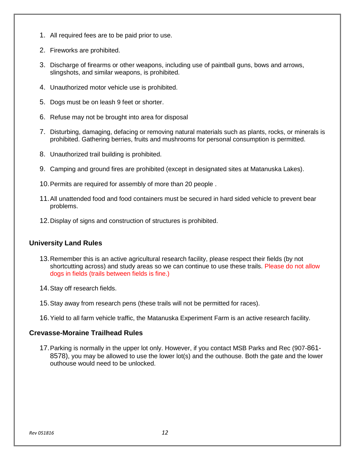- 1. All required fees are to be paid prior to use.
- 2. Fireworks are prohibited.
- 3. Discharge of firearms or other weapons, including use of paintball guns, bows and arrows, slingshots, and similar weapons, is prohibited.
- 4. Unauthorized motor vehicle use is prohibited.
- 5. Dogs must be on leash 9 feet or shorter.
- 6. Refuse may not be brought into area for disposal
- 7. Disturbing, damaging, defacing or removing natural materials such as plants, rocks, or minerals is prohibited. Gathering berries, fruits and mushrooms for personal consumption is permitted.
- 8. Unauthorized trail building is prohibited.
- 9. Camping and ground fires are prohibited (except in designated sites at Matanuska Lakes).
- 10.Permits are required for assembly of more than 20 people .
- 11.All unattended food and food containers must be secured in hard sided vehicle to prevent bear problems.
- 12.Display of signs and construction of structures is prohibited.

### **University Land Rules**

- 13.Remember this is an active agricultural research facility, please respect their fields (by not shortcutting across) and study areas so we can continue to use these trails. Please do not allow dogs in fields (trails between fields is fine.)
- 14.Stay off research fields.
- 15.Stay away from research pens (these trails will not be permitted for races).
- 16.Yield to all farm vehicle traffic, the Matanuska Experiment Farm is an active research facility.

### **Crevasse-Moraine Trailhead Rules**

17.Parking is normally in the upper lot only. However, if you contact MSB Parks and Rec (907-861- 8578), you may be allowed to use the lower lot(s) and the outhouse. Both the gate and the lower outhouse would need to be unlocked.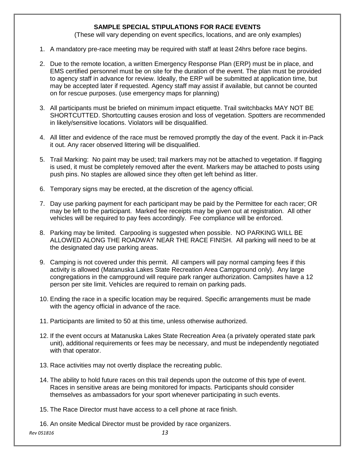### **SAMPLE SPECIAL STIPULATIONS FOR RACE EVENTS**

(These will vary depending on event specifics, locations, and are only examples)

- 1. A mandatory pre-race meeting may be required with staff at least 24hrs before race begins.
- 2. Due to the remote location, a written Emergency Response Plan (ERP) must be in place, and EMS certified personnel must be on site for the duration of the event. The plan must be provided to agency staff in advance for review. Ideally, the ERP will be submitted at application time, but may be accepted later if requested. Agency staff may assist if available, but cannot be counted on for rescue purposes. (use emergency maps for planning)
- 3. All participants must be briefed on minimum impact etiquette. Trail switchbacks MAY NOT BE SHORTCUTTED. Shortcutting causes erosion and loss of vegetation. Spotters are recommended in likely/sensitive locations. Violators will be disqualified.
- 4. All litter and evidence of the race must be removed promptly the day of the event. Pack it in-Pack it out. Any racer observed littering will be disqualified.
- 5. Trail Marking: No paint may be used; trail markers may not be attached to vegetation. If flagging is used, it must be completely removed after the event. Markers may be attached to posts using push pins. No staples are allowed since they often get left behind as litter.
- 6. Temporary signs may be erected, at the discretion of the agency official.
- 7. Day use parking payment for each participant may be paid by the Permittee for each racer; OR may be left to the participant. Marked fee receipts may be given out at registration. All other vehicles will be required to pay fees accordingly. Fee compliance will be enforced.
- 8. Parking may be limited. Carpooling is suggested when possible. NO PARKING WILL BE ALLOWED ALONG THE ROADWAY NEAR THE RACE FINISH. All parking will need to be at the designated day use parking areas.
- 9. Camping is not covered under this permit. All campers will pay normal camping fees if this activity is allowed (Matanuska Lakes State Recreation Area Campground only). Any large congregations in the campground will require park ranger authorization. Campsites have a 12 person per site limit. Vehicles are required to remain on parking pads.
- 10. Ending the race in a specific location may be required. Specific arrangements must be made with the agency official in advance of the race.
- 11. Participants are limited to 50 at this time, unless otherwise authorized.
- 12. If the event occurs at Matanuska Lakes State Recreation Area (a privately operated state park unit), additional requirements or fees may be necessary, and must be independently negotiated with that operator.
- 13. Race activities may not overtly displace the recreating public.
- 14. The ability to hold future races on this trail depends upon the outcome of this type of event. Races in sensitive areas are being monitored for impacts. Participants should consider themselves as ambassadors for your sport whenever participating in such events.
- 15. The Race Director must have access to a cell phone at race finish.
- 16. An onsite Medical Director must be provided by race organizers.